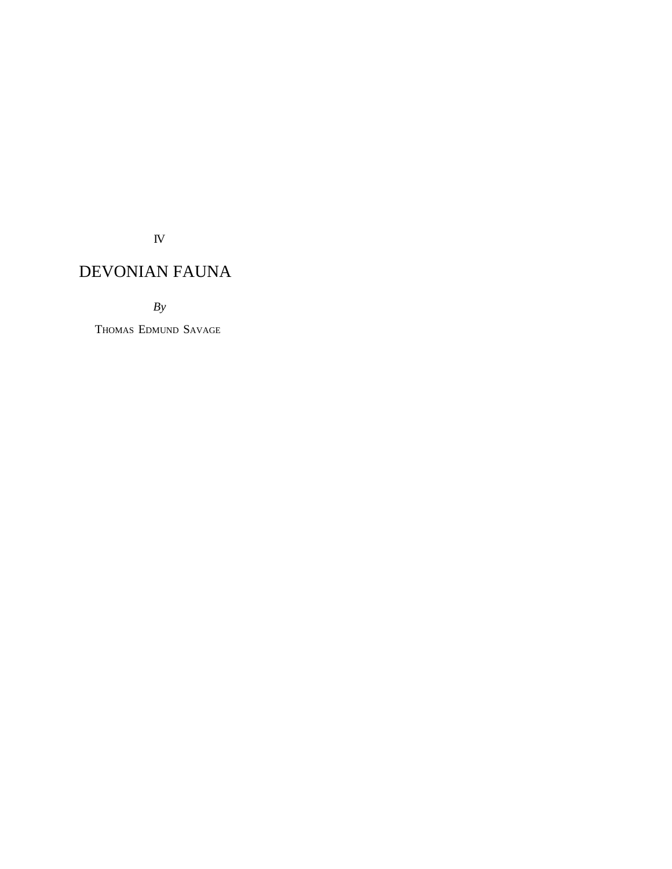IV

# DEVONIAN FAUNA

*By*

THOMAS EDMUND SAVAGE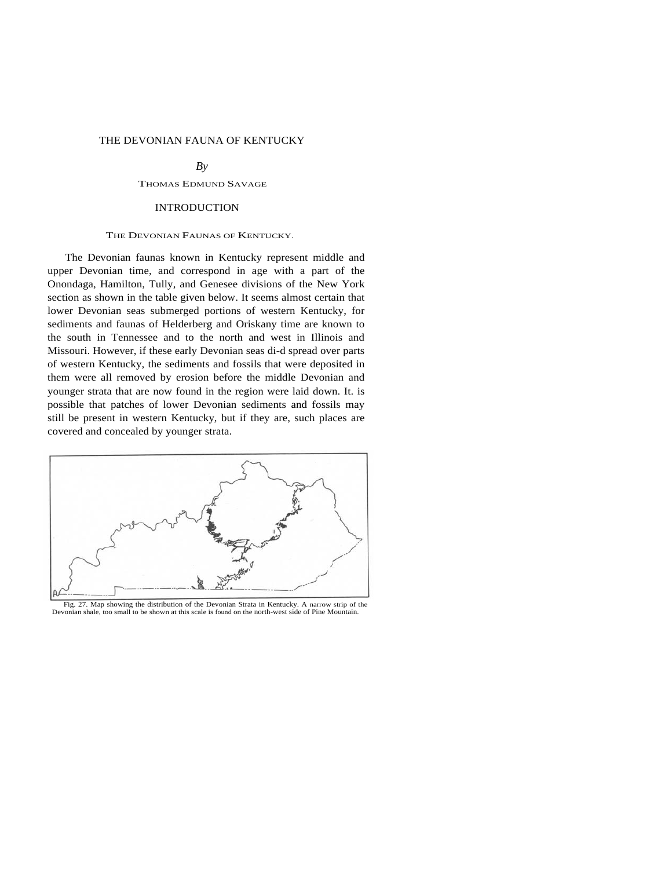# THE DEVONIAN FAUNA OF KENTUCKY

*By* 

# THOMAS EDMUND SAVAGE

### INTRODUCTION

#### THE DEVONIAN FAUNAS OF KENTUCKY.

The Devonian faunas known in Kentucky represent middle and upper Devonian time, and correspond in age with a part of the Onondaga, Hamilton, Tully, and Genesee divisions of the New York section as shown in the table given below. It seems almost certain that lower Devonian seas submerged portions of western Kentucky, for sediments and faunas of Helderberg and Oriskany time are known to the south in Tennessee and to the north and west in Illinois and Missouri. However, if these early Devonian seas di-d spread over parts of western Kentucky, the sediments and fossils that were deposited in them were all removed by erosion before the middle Devonian and younger strata that are now found in the region were laid down. It. is possible that patches of lower Devonian sediments and fossils may still be present in western Kentucky, but if they are, such places are covered and concealed by younger strata.



Fig. 27. Map showing the distribution of the Devonian Strata in Kentucky. A narrow strip of the Devonian shale, too small to be shown at this scale is found on the north-west side of Pine Mountain.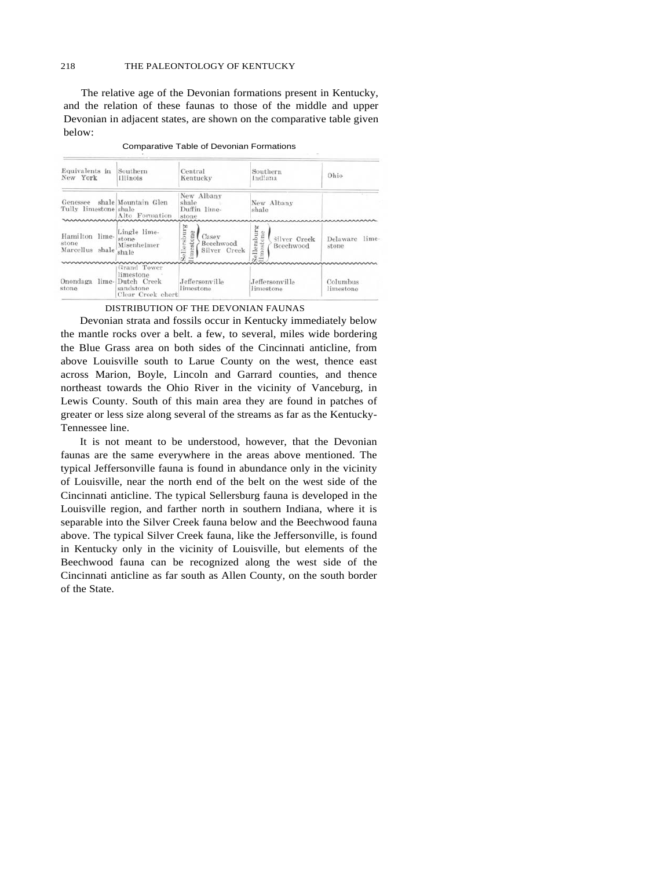The relative age of the Devonian formations present in Kentucky, and the relation of these faunas to those of the middle and upper Devonian in adjacent states, are shown on the comparative table given below:

| Equivalents in<br>New York                 | Southern<br>Illinois                                                      | Central<br>Kentucky                                           | Southern<br>Indiana                                 | Ohio                       |
|--------------------------------------------|---------------------------------------------------------------------------|---------------------------------------------------------------|-----------------------------------------------------|----------------------------|
| Genessee<br>Tully limestone shale          | shale Mountain Glen<br>Alto Formation                                     | New Albany<br>shale<br>Duffin line-<br>stone                  | New Albany<br>shale                                 |                            |
| Hamilton lime-<br>stone<br>Marcellus shale | Lingle lime-<br>stone<br>Misenheimer<br>shale                             | Sellersburg<br>imestone<br>Casev<br>Beechwood<br>Silver Creek | Sellersburg<br>mestone<br>Silver Creek<br>Beechwood | Delaware<br>lime-<br>stone |
| Onondaga<br>lime-<br>stone                 | Grand Tower<br>limestone<br>Dutch Creek<br>sandstone<br>Clear Creek chert | Jeffersonville<br>limestone                                   | Jeffersonville<br>limestone                         | Columbus<br>limestone      |

Comparative Table of Devonian Formations

DISTRIBUTION OF THE DEVONIAN FAUNAS

Devonian strata and fossils occur in Kentucky immediately below the mantle rocks over a belt. a few, to several, miles wide bordering the Blue Grass area on both sides of the Cincinnati anticline, from above Louisville south to Larue County on the west, thence east across Marion, Boyle, Lincoln and Garrard counties, and thence northeast towards the Ohio River in the vicinity of Vanceburg, in Lewis County. South of this main area they are found in patches of greater or less size along several of the streams as far as the Kentucky-Tennessee line.

It is not meant to be understood, however, that the Devonian faunas are the same everywhere in the areas above mentioned. The typical Jeffersonville fauna is found in abundance only in the vicinity of Louisville, near the north end of the belt on the west side of the Cincinnati anticline. The typical Sellersburg fauna is developed in the Louisville region, and farther north in southern Indiana, where it is separable into the Silver Creek fauna below and the Beechwood fauna above. The typical Silver Creek fauna, like the Jeffersonville, is found in Kentucky only in the vicinity of Louisville, but elements of the Beechwood fauna can be recognized along the west side of the Cincinnati anticline as far south as Allen County, on the south border of the State.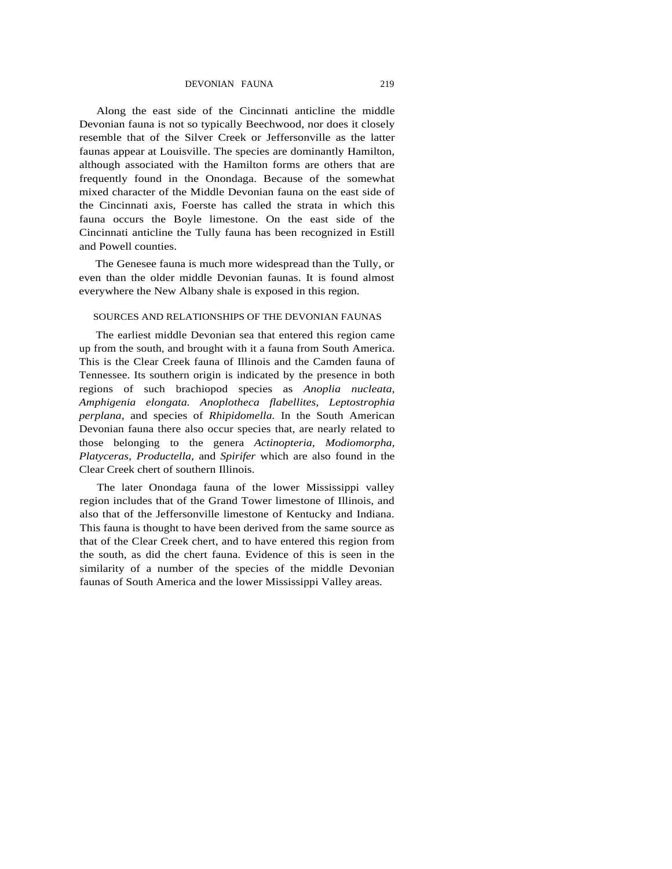DEVONIAN FAUNA 219

Along the east side of the Cincinnati anticline the middle Devonian fauna is not so typically Beechwood, nor does it closely resemble that of the Silver Creek or Jeffersonville as the latter faunas appear at Louisville. The species are dominantly Hamilton, although associated with the Hamilton forms are others that are frequently found in the Onondaga. Because of the somewhat mixed character of the Middle Devonian fauna on the east side of the Cincinnati axis, Foerste has called the strata in which this fauna occurs the Boyle limestone. On the east side of the Cincinnati anticline the Tully fauna has been recognized in Estill and Powell counties.

The Genesee fauna is much more widespread than the Tully, or even than the older middle Devonian faunas. It is found almost everywhere the New Albany shale is exposed in this region.

# SOURCES AND RELATIONSHIPS OF THE DEVONIAN FAUNAS

The earliest middle Devonian sea that entered this region came up from the south, and brought with it a fauna from South America. This is the Clear Creek fauna of Illinois and the Camden fauna of Tennessee. Its southern origin is indicated by the presence in both regions of such brachiopod species as *Anoplia nucleata, Amphigenia elongata. Anoplotheca flabellites, Leptostrophia perplana,* and species of *Rhipidomella.* In the South American Devonian fauna there also occur species that, are nearly related to those belonging to the genera *Actinopteria, Modiomorpha, Platyceras, Productella,* and *Spirifer* which are also found in the Clear Creek chert of southern Illinois.

The later Onondaga fauna of the lower Mississippi valley region includes that of the Grand Tower limestone of Illinois, and also that of the Jeffersonville limestone of Kentucky and Indiana. This fauna is thought to have been derived from the same source as that of the Clear Creek chert, and to have entered this region from the south, as did the chert fauna. Evidence of this is seen in the similarity of a number of the species of the middle Devonian faunas of South America and the lower Mississippi Valley areas.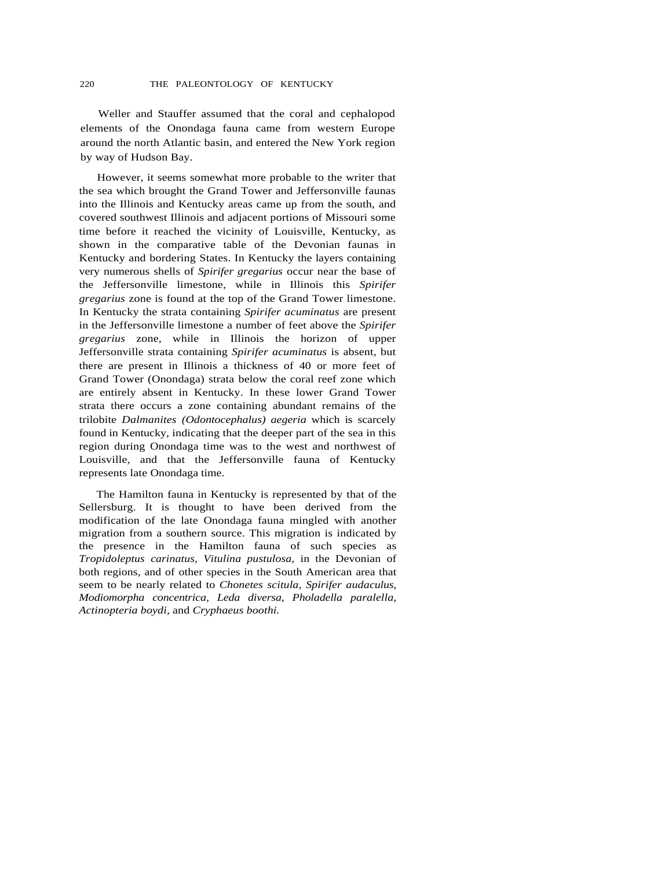Weller and Stauffer assumed that the coral and cephalopod elements of the Onondaga fauna came from western Europe around the north Atlantic basin, and entered the New York region by way of Hudson Bay.

However, it seems somewhat more probable to the writer that the sea which brought the Grand Tower and Jeffersonville faunas into the Illinois and Kentucky areas came up from the south, and covered southwest Illinois and adjacent portions of Missouri some time before it reached the vicinity of Louisville, Kentucky, as shown in the comparative table of the Devonian faunas in Kentucky and bordering States. In Kentucky the layers containing very numerous shells of *Spirifer gregarius* occur near the base of the Jeffersonville limestone, while in Illinois this *Spirifer gregarius* zone is found at the top of the Grand Tower limestone. In Kentucky the strata containing *Spirifer acuminatus* are present in the Jeffersonville limestone a number of feet above the *Spirifer gregarius* zone, while in Illinois the horizon of upper Jeffersonville strata containing *Spirifer acuminatus* is absent, but there are present in Illinois a thickness of 40 or more feet of Grand Tower (Onondaga) strata below the coral reef zone which are entirely absent in Kentucky. In these lower Grand Tower strata there occurs a zone containing abundant remains of the trilobite *Dalmanites (Odontocephalus) aegeria* which is scarcely found in Kentucky, indicating that the deeper part of the sea in this region during Onondaga time was to the west and northwest of Louisville, and that the Jeffersonville fauna of Kentucky represents late Onondaga time.

The Hamilton fauna in Kentucky is represented by that of the Sellersburg. It is thought to have been derived from the modification of the late Onondaga fauna mingled with another migration from a southern source. This migration is indicated by the presence in the Hamilton fauna of such species as *Tropidoleptus carinatus, Vitulina pustulosa,* in the Devonian of both regions, and of other species in the South American area that seem to be nearly related to *Chonetes scitula, Spirifer audaculus, Modiomorpha concentrica, Leda diversa, Pholadella paralella, Actinopteria boydi,* and *Cryphaeus boothi.*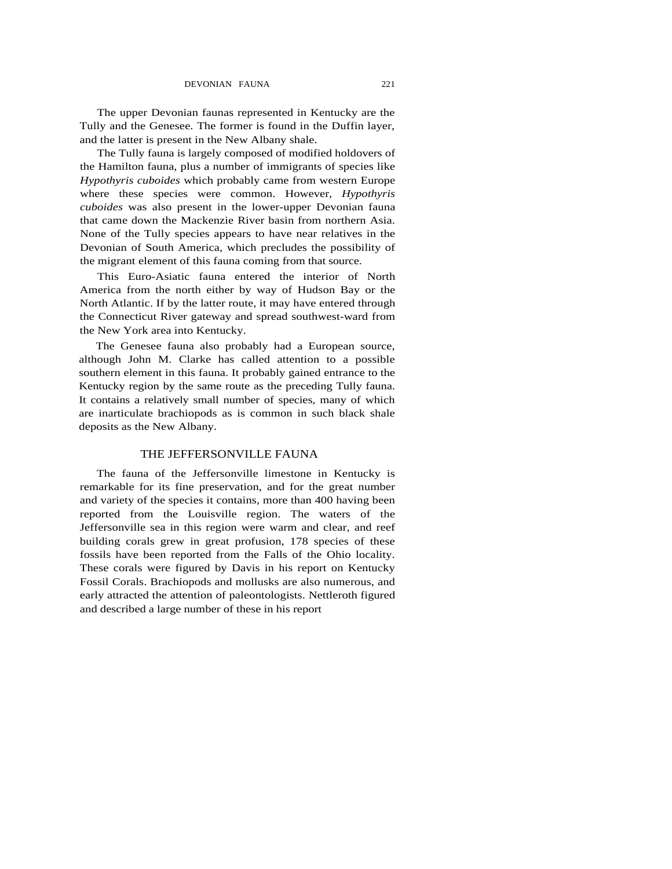The upper Devonian faunas represented in Kentucky are the Tully and the Genesee. The former is found in the Duffin layer, and the latter is present in the New Albany shale.

The Tully fauna is largely composed of modified holdovers of the Hamilton fauna, plus a number of immigrants of species like *Hypothyris cuboides* which probably came from western Europe where these species were common. However, *Hypothyris cuboides* was also present in the lower-upper Devonian fauna that came down the Mackenzie River basin from northern Asia. None of the Tully species appears to have near relatives in the Devonian of South America, which precludes the possibility of the migrant element of this fauna coming from that source.

This Euro-Asiatic fauna entered the interior of North America from the north either by way of Hudson Bay or the North Atlantic. If by the latter route, it may have entered through the Connecticut River gateway and spread southwest-ward from the New York area into Kentucky.

The Genesee fauna also probably had a European source, although John M. Clarke has called attention to a possible southern element in this fauna. It probably gained entrance to the Kentucky region by the same route as the preceding Tully fauna. It contains a relatively small number of species, many of which are inarticulate brachiopods as is common in such black shale deposits as the New Albany.

# THE JEFFERSONVILLE FAUNA

The fauna of the Jeffersonville limestone in Kentucky is remarkable for its fine preservation, and for the great number and variety of the species it contains, more than 400 having been reported from the Louisville region. The waters of the Jeffersonville sea in this region were warm and clear, and reef building corals grew in great profusion, 178 species of these fossils have been reported from the Falls of the Ohio locality. These corals were figured by Davis in his report on Kentucky Fossil Corals. Brachiopods and mollusks are also numerous, and early attracted the attention of paleontologists. Nettleroth figured and described a large number of these in his report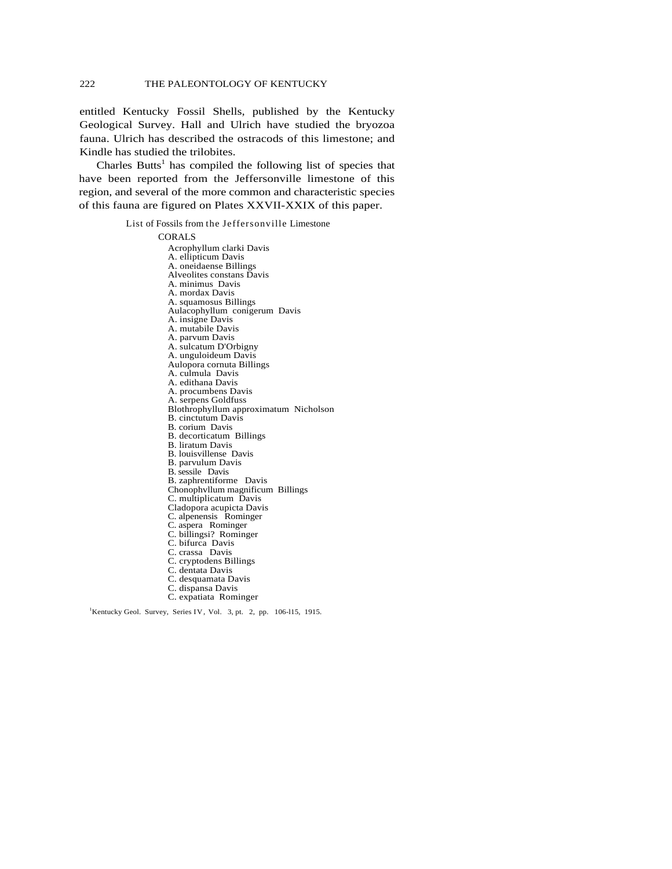entitled Kentucky Fossil Shells, published by the Kentucky Geological Survey. Hall and Ulrich have studied the bryozoa fauna. Ulrich has described the ostracods of this limestone; and Kindle has studied the trilobites.

Charles Butts<sup>1</sup> has compiled the following list of species that have been reported from the Jeffersonville limestone of this region, and several of the more common and characteristic species of this fauna are figured on Plates XXVII-XXIX of this paper.

List of Fossils from the Jeffersonville Limestone

CORALS

Acrophyllum clarki Davis A. ellipticum Davis A. oneidaense Billings Alveolites constans Davis A. minimus Davis A. mordax Davis A. squamosus Billings Aulacophyllum conigerum Davis A. insigne Davis A. mutabile Davis A. parvum Davis A. sulcatum D'Orbigny A. unguloideum Davis Aulopora cornuta Billings A. culmula Davis A. edithana Davis A. procumbens Davis A. serpens Goldfuss Blothrophyllum approximatum Nicholson B. cinctutum Davis B. corium Davis B. decorticatum Billings B. liratum Davis B. louisvillense Davis B. parvulum Davis B. sessile Davis B. zaphrentiforme Davis Chonophvllum magnificum Billings C. multiplicatum Davis Cladopora acupicta Davis C. alpenensis Rominger C. aspera Rominger C. billingsi? Rominger C. bifurca Davis C. crassa Davis C. cryptodens Billings C. dentata Davis C. desquamata Davis C. dispansa Davis C. expatiata Rominger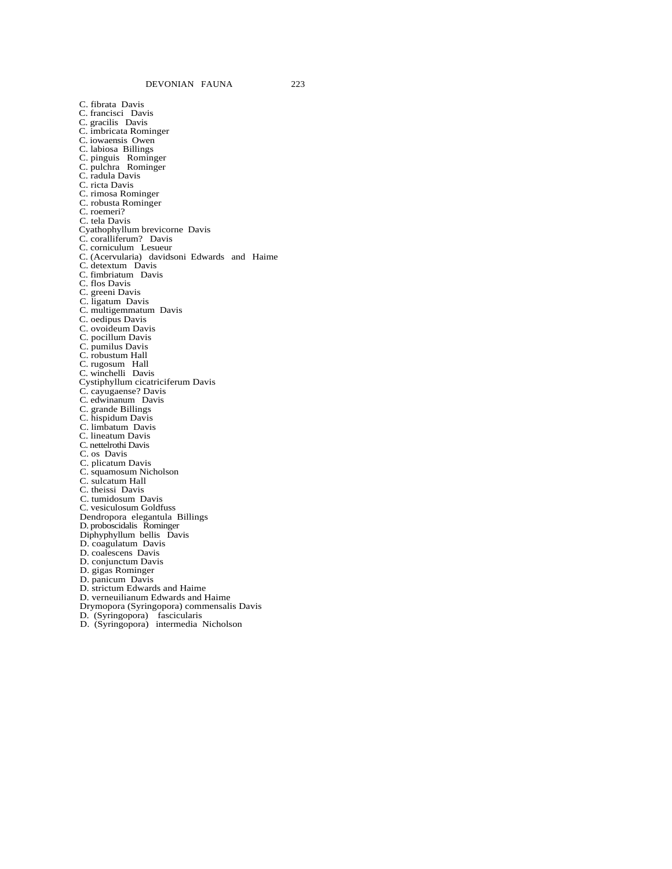C. fibrata Davis C. francisci Davis C. gracilis Davis C. imbricata Rominger C. iowaensis Owen C. labiosa Billings C. pinguis Rominger C. pulchra Rominger C. radula Davis C. ricta Davis C. rimosa Rominger C. robusta Rominger C. roemeri? C. tela Davis Cyathophyllum brevicorne Davis C. coralliferum? Davis C. corniculum Lesueur C. (Acervularia) davidsoni Edwards and Haime C. detextum Davis C. fimbriatum Davis C. flos Davis C. greeni Davis C. ligatum Davis C. multigemmatum Davis C. oedipus Davis C. ovoideum Davis C. pocillum Davis C. pumilus Davis C. robustum Hall C. rugosum Hall C. winchelli Davis Cystiphyllum cicatriciferum Davis C. cayugaense? Davis C. edwinanum Davis C. grande Billings C. hispidum Davis C. limbatum Davis C. lineatum Davis C. nettelrothi Davis C. os Davis C. plicatum Davis C. squamosum Nicholson C. sulcatum Hall C. theissi Davis C. tumidosum Davis C. vesiculosum Goldfuss Dendropora elegantula Billings D. proboscidalis Rominger Diphyphyllum bellis Davis D. coagulatum Davis D. coalescens Davis D. conjunctum Davis D. gigas Rominger D. panicum Davis D. strictum Edwards and Haime D. verneuilianum Edwards and Haime Drymopora (Syringopora) commensalis Davis D. (Syringopora) fascicularis D. (Syringopora) intermedia Nicholson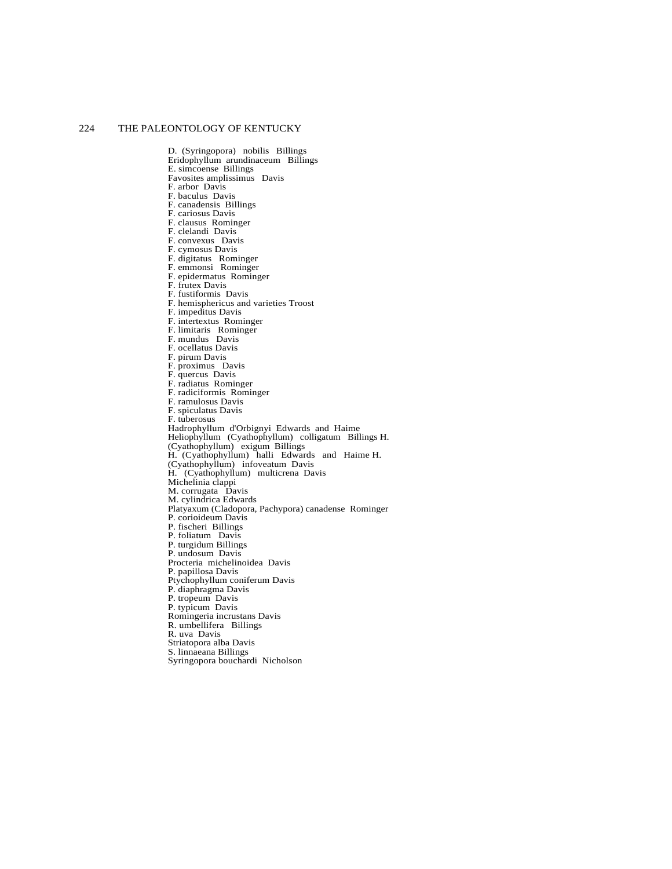D. (Syringopora) nobilis Billings Eridophyllum arundinaceum Billings E. simcoense Billings Favosites amplissimus Davis F. arbor Davis F. baculus Davis F. canadensis Billings F. cariosus Davis F. clausus Rominger F. clelandi Davis F. convexus Davis F. cymosus Davis F. digitatus Rominger F. emmonsi Rominger F. epidermatus Rominger F. frutex Davis F. fustiformis Davis F. hemisphericus and varieties Troost F. impeditus Davis F. intertextus Rominger F. limitaris Rominger F. mundus Davis F. ocellatus Davis F. pirum Davis F. proximus Davis F. quercus Davis F. radiatus Rominger F. radiciformis Rominger F. ramulosus Davis F. spiculatus Davis F. tuberosus Hadrophyllum d'Orbignyi Edwards and Haime Heliophyllum (Cyathophyllum) colligatum Billings H. (Cyathophyllum) exigum Billings H. (Cyathophyllum) halli Edwards and Haime H. (Cyathophyllum) infoveatum Davis H. (Cyathophyllum) multicrena Davis Michelinia clappi M. corrugata Davis M. cylindrica Edwards Platyaxum (Cladopora, Pachypora) canadense Rominger P. corioideum Davis P. fischeri Billings P. foliatum Davis P. turgidum Billings P. undosum Davis Procteria michelinoidea Davis P. papillosa Davis Ptychophyllum coniferum Davis P. diaphragma Davis P. tropeum Davis P. typicum Davis Romingeria incrustans Davis R. umbellifera Billings R. uva Davis Striatopora alba Davis S. linnaeana Billings Syringopora bouchardi Nicholson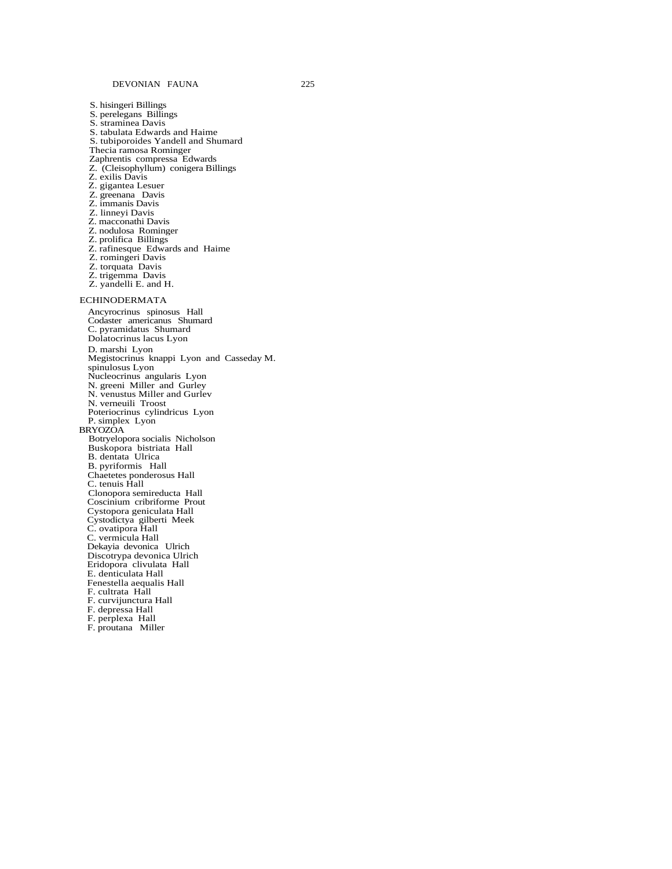S. hisingeri Billings S. perelegans Billings S. straminea Davis S. tabulata Edwards and Haime S. tubiporoides Yandell and Shumard Thecia ramosa Rominger Zaphrentis compressa Edwards Z. (Cleisophyllum) conigera Billings Z. exilis Davis Z. gigantea Lesuer Z. greenana Davis Z. immanis Davis Z. linneyi Davis Z. macconathi Davis Z. nodulosa Rominger Z. prolifica Billings Z. rafinesque Edwards and Haime Z. romingeri Davis Z. torquata Davis Z. trigemma Davis Z. yandelli E. and H. ECHINODERMATA Ancyrocrinus spinosus Hall Codaster americanus Shumard C. pyramidatus Shumard Dolatocrinus lacus Lyon D. marshi Lyon Megistocrinus knappi Lyon and Casseday M. spinulosus Lyon Nucleocrinus angularis Lyon N. greeni Miller and Gurley N. venustus Miller and Gurlev N. verneuili Troost Poteriocrinus cylindricus Lyon P. simplex Lyon BRYOZOA Botryelopora socialis Nicholson Buskopora bistriata Hall B. dentata Ulrica B. pyriformis Hall Chaetetes ponderosus Hall C. tenuis Hall Clonopora semireducta Hall Coscinium cribriforme Prout Cystopora geniculata Hall Cystodictya gilberti Meek C. ovatipora Hall C. vermicula Hall Dekayia devonica Ulrich Discotrypa devonica Ulrich Eridopora clivulata Hall E. denticulata Hall Fenestella aequalis Hall F. cultrata Hall F. curvijunctura Hall F. depressa Hall F. perplexa Hall F. proutana Miller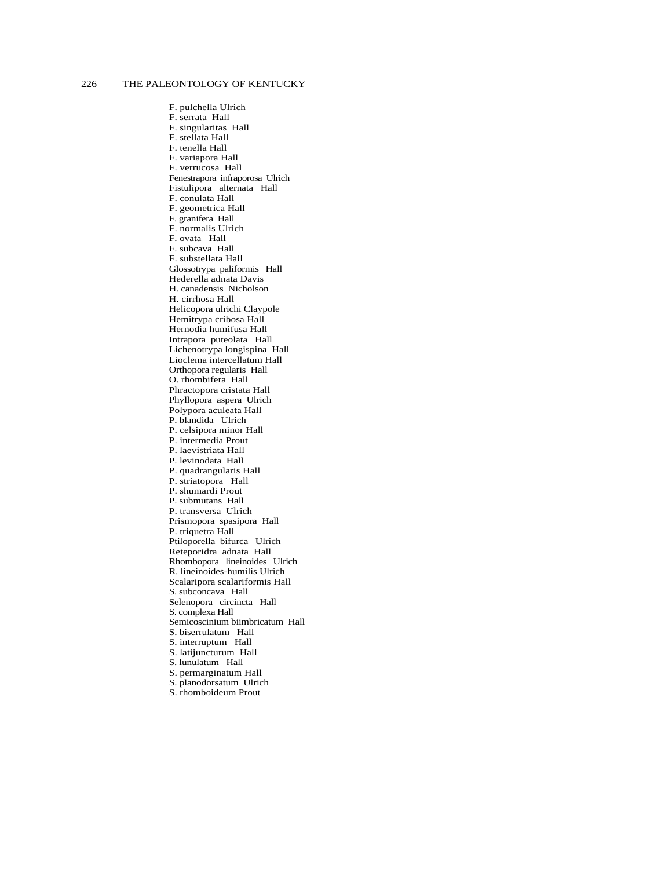F. pulchella Ulrich F. serrata Hall F. singularitas Hall F. stellata Hall F. tenella Hall F. variapora Hall F. verrucosa Hall Fenestrapora infraporosa Ulrich Fistulipora alternata Hall F. conulata Hall F. geometrica Hall F. granifera Hall F. normalis Ulrich F. ovata Hall F. subcava Hall F. substellata Hall Glossotrypa paliformis Hall Hederella adnata Davis H. canadensis Nicholson H. cirrhosa Hall Helicopora ulrichi Claypole Hemitrypa cribosa Hall Hernodia humifusa Hall Intrapora puteolata Hall Lichenotrypa longispina Hall Lioclema intercellatum Hall Orthopora regularis Hall O. rhombifera Hall Phractopora cristata Hall Phyllopora aspera Ulrich Polypora aculeata Hall P. blandida Ulrich P. celsipora minor Hall P. intermedia Prout P. laevistriata Hall P. levinodata Hall P. quadrangularis Hall P. striatopora Hall P. shumardi Prout P. submutans Hall P. transversa Ulrich Prismopora spasipora Hall P. triquetra Hall Ptiloporella bifurca Ulrich Reteporidra adnata Hall Rhombopora lineinoides Ulrich R. lineinoides-humilis Ulrich Scalaripora scalariformis Hall S. subconcava Hall Selenopora circincta Hall S. complexa Hall Semicoscinium biimbricatum Hall S. biserrulatum Hall S. interruptum Hall S. latijuncturum Hall S. lunulatum Hall S. permarginatum Hall S. planodorsatum Ulrich S. rhomboideum Prout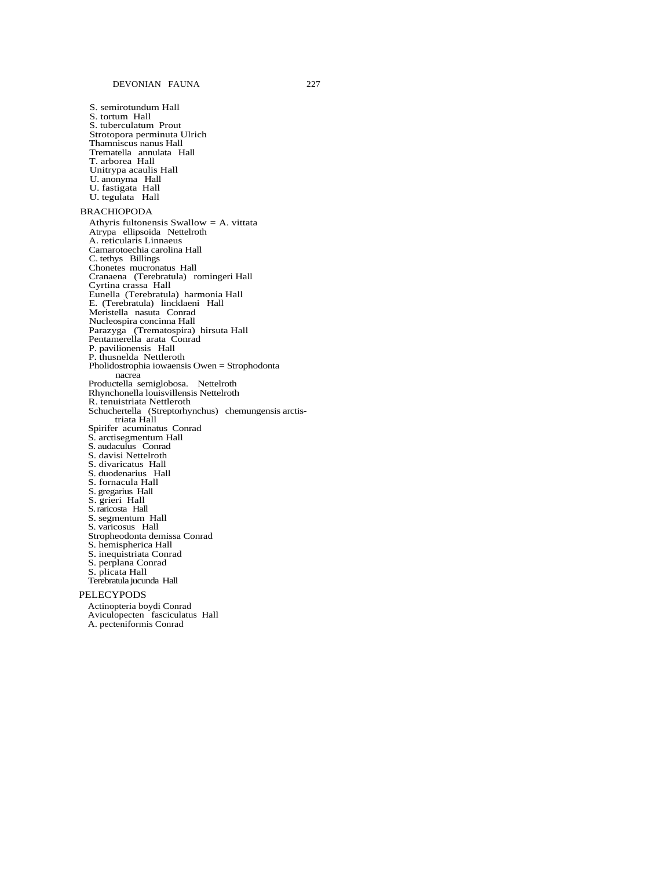S. semirotundum Hall S. tortum Hall S. tuberculatum Prout Strotopora perminuta Ulrich Thamniscus nanus Hall Trematella annulata Hall T. arborea Hall Unitrypa acaulis Hall U. anonyma Hall U. fastigata Hall U. tegulata Hall

#### BRACHIOPODA

Athyris fultonensis Swallow *=* A. vittata Atrypa ellipsoida Nettelroth A. reticularis Linnaeus Camarotoechia carolina Hall C. tethys Billings Chonetes mucronatus Hall Cranaena (Terebratula) romingeri Hall Cyrtina crassa Hall Eunella (Terebratula) harmonia Hall E. (Terebratula) lincklaeni Hall Meristella nasuta Conrad Nucleospira concinna Hall Parazyga (Trematospira) hirsuta Hall Pentamerella arata Conrad P. pavilionensis Hall P. thusnelda Nettleroth Pholidostrophia iowaensis Owen = Strophodonta nacrea Productella semiglobosa. Nettelroth Rhynchonella louisvillensis Nettelroth R. tenuistriata Nettleroth Schuchertella (Streptorhynchus) chemungensis arctistriata Hall Spirifer acuminatus Conrad S. arctisegmentum Hall S. audaculus Conrad S. davisi Nettelroth S. divaricatus Hall S. duodenarius Hall S. fornacula Hall S. gregarius Hall S. grieri Hall S. raricosta Hall S. segmentum Hall S. varicosus Hall Stropheodonta demissa Conrad S. hemispherica Hall S. inequistriata Conrad S. perplana Conrad S. plicata Hall Terebratula jucunda Hall

#### PELECYPODS

Actinopteria boydi Conrad Aviculopecten fasciculatus Hall A. pecteniformis Conrad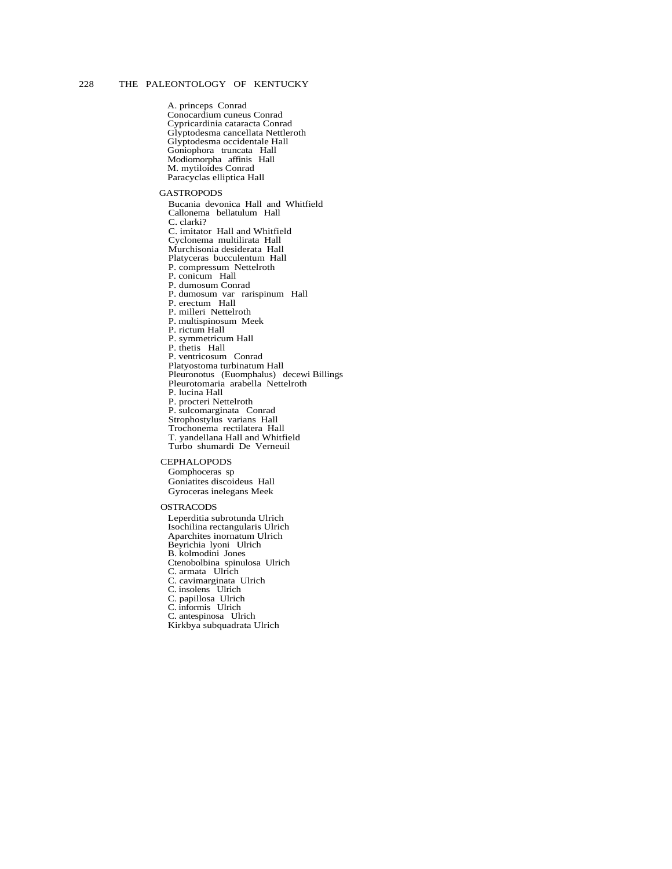A. princeps Conrad Conocardium cuneus Conrad Cypricardinia cataracta Conrad Glyptodesma cancellata Nettleroth Glyptodesma occidentale Hall Goniophora truncata Hall Modiomorpha affinis Hall M. mytiloides Conrad Paracyclas elliptica Hall

#### **GASTROPODS**

Bucania devonica Hall and Whitfield Callonema bellatulum Hall C. clarki? C. imitator Hall and Whitfield Cyclonema multilirata Hall Murchisonia desiderata Hall Platyceras bucculentum Hall P. compressum Nettelroth P. conicum Hall P. dumosum Conrad P. dumosum var rarispinum Hall P. erectum Hall P. milleri Nettelroth P. multispinosum Meek P. rictum Hall P. symmetricum Hall P. thetis Hall P. ventricosum Conrad Platyostoma turbinatum Hall Pleuronotus (Euomphalus) decewi Billings Pleurotomaria arabella Nettelroth P. lucina Hall P. procteri Nettelroth P. sulcomarginata Conrad Strophostylus varians Hall Trochonema rectilatera Hall T. yandellana Hall and Whitfield Turbo shumardi De Verneuil

# **CEPHALOPODS**

Gomphoceras sp Goniatites discoideus Hall Gyroceras inelegans Meek

#### OSTRACODS

Leperditia subrotunda Ulrich Isochilina rectangularis Ulrich Aparchites inornatum Ulrich Beyrichia lyoni Ulrich B. kolmodini Jones Ctenobolbina spinulosa Ulrich C. armata Ulrich C. cavimarginata Ulrich C. insolens Ulrich C. papillosa Ulrich C. informis Ulrich C. antespinosa Ulrich Kirkbya subquadrata Ulrich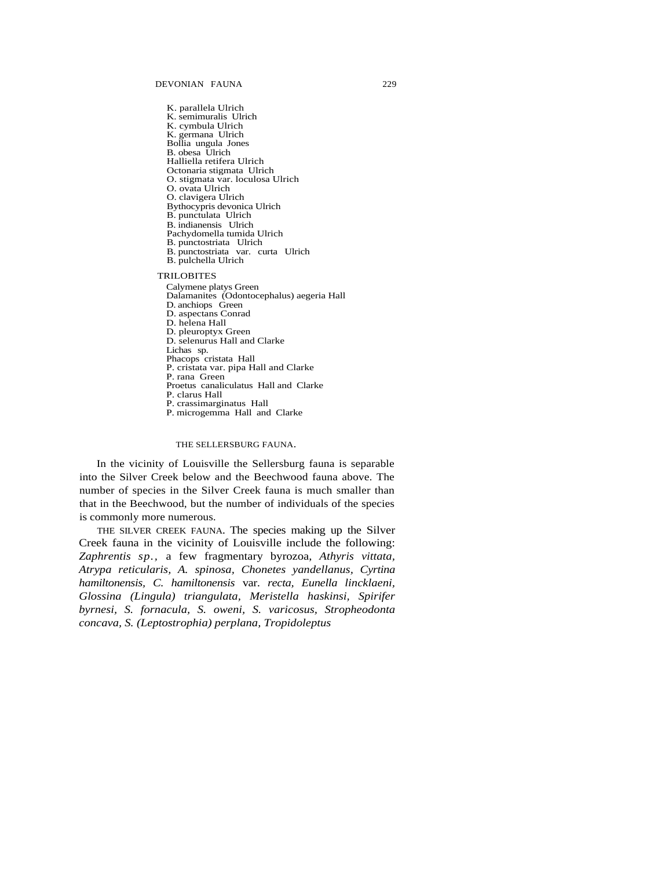K. parallela Ulrich K. semimuralis Ulrich K. cymbula Ulrich K. germana Ulrich Bollia ungula Jones B. obesa Ulrich Halliella retifera Ulrich Octonaria stigmata Ulrich O. stigmata var. loculosa Ulrich O. ovata Ulrich O. clavigera Ulrich Bythocypris devonica Ulrich B. punctulata Ulrich B. indianensis Ulrich Pachydomella tumida Ulrich B. punctostriata Ulrich B. punctostriata var. curta Ulrich B. pulchella Ulrich TRILOBITES Calymene platys Green Dalamanites (Odontocephalus) aegeria Hall D. anchiops Green D. aspectans Conrad D. helena Hall D. pleuroptyx Green D. selenurus Hall and Clarke Lichas sp. Phacops cristata Hall P. cristata var. pipa Hall and Clarke P. rana Green Proetus canaliculatus Hall and Clarke P. clarus Hall P. crassimarginatus Hall P. microgemma Hall and Clarke

THE SELLERSBURG FAUNA.

In the vicinity of Louisville the Sellersburg fauna is separable into the Silver Creek below and the Beechwood fauna above. The number of species in the Silver Creek fauna is much smaller than that in the Beechwood, but the number of individuals of the species is commonly more numerous.

THE SILVER CREEK FAUNA. The species making up the Silver Creek fauna in the vicinity of Louisville include the following: *Zaphrentis sp.,* a few fragmentary byrozoa, *Athyris vittata, Atrypa reticularis, A. spinosa, Chonetes yandellanus, Cyrtina hamiltonensis, C. hamiltonensis* var. *recta, Eunella lincklaeni, Glossina (Lingula) triangulata, Meristella haskinsi, Spirifer byrnesi, S. fornacula, S. oweni, S. varicosus, Stropheodonta concava, S. (Leptostrophia) perplana, Tropidoleptus*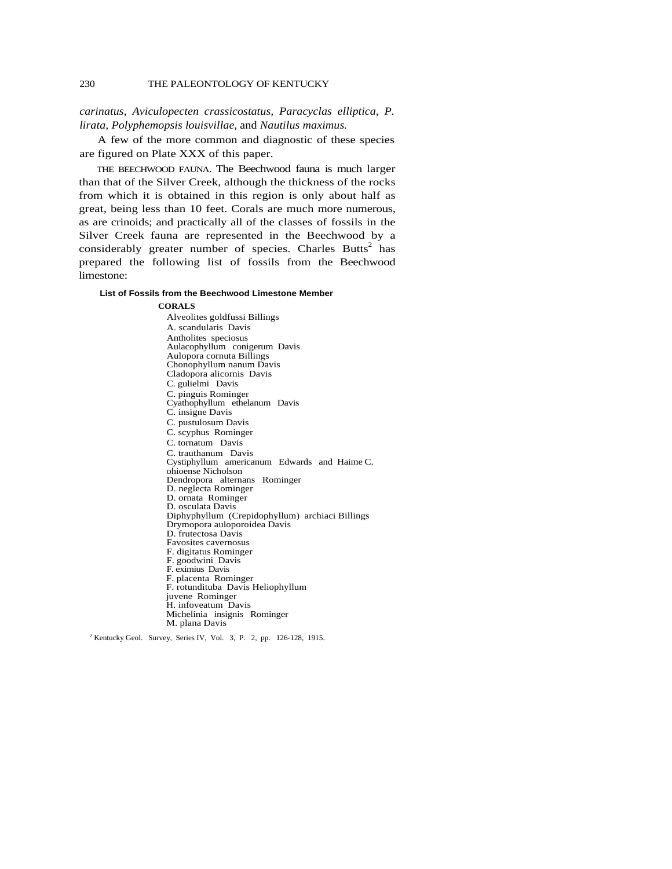*carinatus, Aviculopecten crassicostatus, Paracyclas elliptica, P. lirata, Polyphemopsis louisvillae,* and *Nautilus maximus.*

A few of the more common and diagnostic of these species are figured on Plate XXX of this paper.

THE BEECHWOOD FAUNA. The Beechwood fauna is much larger than that of the Silver Creek, although the thickness of the rocks from which it is obtained in this region is only about half as great, being less than 10 feet. Corals are much more numerous, as are crinoids; and practically all of the classes of fossils in the Silver Creek fauna are represented in the Beechwood by a considerably greater number of species. Charles Butts<sup>2</sup> has prepared the following list of fossils from the Beechwood limestone:

#### **List of Fossils from the Beechwood Limestone Member**

#### **CORALS**

Alveolites goldfussi Billings A. scandularis Davis Antholites speciosus Aulacophyllum conigerum Davis Aulopora cornuta Billings Chonophyllum nanum Davis Cladopora alicornis Davis C. gulielmi Davis C. pinguis Rominger Cyathophyllum ethelanum Davis C. insigne Davis C. pustulosum Davis C. scyphus Rominger C. tornatum Davis C. trauthanum Davis Cystiphyllum americanum Edwards and Haime C. ohioense Nicholson Dendropora alternans Rominger D. neglecta Rominger D. ornata Rominger D. osculata Davis Diphyphyllum (Crepidophyllum) archiaci Billings Drymopora auloporoidea Davis D. frutectosa Davis Favosites cavernosus F. digitatus Rominger F. goodwini Davis F. eximius Davis F. placenta Rominger F. rotundituba Davis Heliophyllum juvene Rominger H. infoveatum Davis Michelinia insignis Rominger

M. plana Davis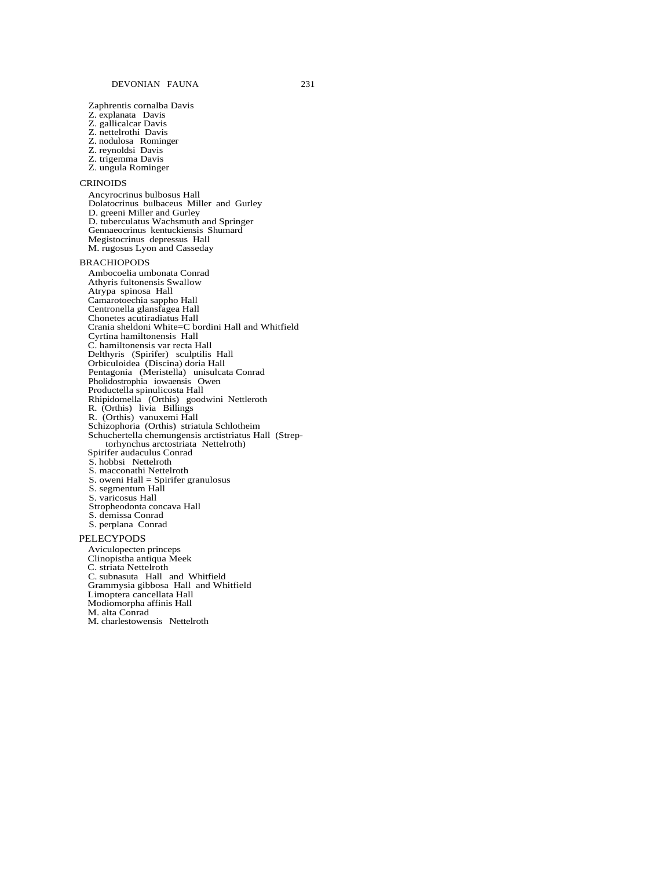Zaphrentis cornalba Davis Z. explanata Davis Z. gallicalcar Davis Z. nettelrothi Davis Z. nodulosa Rominger Z. reynoldsi Davis Z. trigemma Davis Z. ungula Rominger

#### CRINOIDS

Ancyrocrinus bulbosus Hall Dolatocrinus bulbaceus Miller and Gurley D. greeni Miller and Gurley D. tuberculatus Wachsmuth and Springer Gennaeocrinus kentuckiensis Shumard Megistocrinus depressus Hall M. rugosus Lyon and Casseday

#### BRACHIOPODS

Ambocoelia umbonata Conrad Athyris fultonensis Swallow Atrypa spinosa Hall Camarotoechia sappho Hall Centronella glansfagea Hall Chonetes acutiradiatus Hall Crania sheldoni White=C bordini Hall and Whitfield Cyrtina hamiltonensis Hall C. hamiltonensis var recta Hall Delthyris (Spirifer) sculptilis Hall Orbiculoidea (Discina) doria Hall Pentagonia (Meristella) unisulcata Conrad Pholidostrophia iowaensis Owen Productella spinulicosta Hall Rhipidomella (Orthis) goodwini Nettleroth R. (Orthis) livia Billings R. (Orthis) vanuxemi Hall Schizophoria (Orthis) striatula Schlotheim Schuchertella chemungensis arctistriatus Hall (Streptorhynchus arctostriata Nettelroth) Spirifer audaculus Conrad S. hobbsi Nettelroth S. macconathi Nettelroth S. oweni Hall = Spirifer granulosus S. segmentum Hall S. varicosus Hall

Stropheodonta concava Hall

S. demissa Conrad

S. perplana Conrad

#### PELECYPODS

Aviculopecten princeps Clinopistha antiqua Meek C. striata Nettelroth C. subnasuta Hall and Whitfield Grammysia gibbosa Hall and Whitfield Limoptera cancellata Hall Modiomorpha affinis Hall M. alta Conrad M. charlestowensis Nettelroth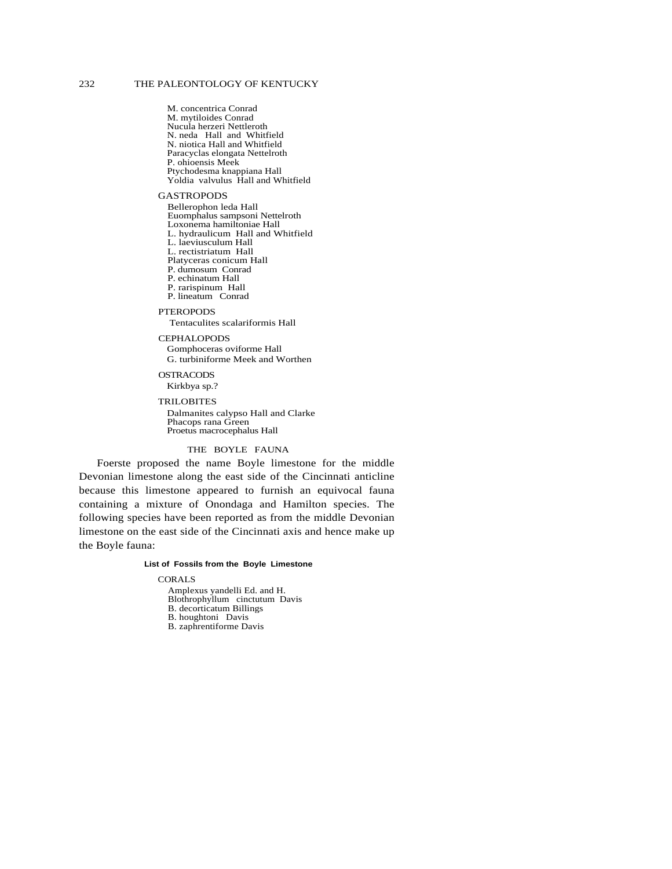M. concentrica Conrad M. mytiloides Conrad Nucula herzeri Nettleroth N. neda Hall and Whitfield N. niotica Hall and Whitfield Paracyclas elongata Nettelroth P. ohioensis Meek Ptychodesma knappiana Hall Yoldia valvulus Hall and Whitfield

#### GASTROPODS

Bellerophon leda Hall Euomphalus sampsoni Nettelroth Loxonema hamiltoniae Hall L. hydraulicum Hall and Whitfield L. laeviusculum Hall L. rectistriatum Hall Platyceras conicum Hall P. dumosum Conrad P. echinatum Hall P. rarispinum Hall P. lineatum Conrad **PTEROPODS** 

Tentaculites scalariformis Hall

#### CEPHALOPODS

Gomphoceras oviforme Hall G. turbiniforme Meek and Worthen

#### OSTRACODS

Kirkbya sp.?

#### TRILOBITES

Dalmanites calypso Hall and Clarke Phacops rana Green Proetus macrocephalus Hall

### THE BOYLE FAUNA

Foerste proposed the name Boyle limestone for the middle Devonian limestone along the east side of the Cincinnati anticline because this limestone appeared to furnish an equivocal fauna containing a mixture of Onondaga and Hamilton species. The following species have been reported as from the middle Devonian limestone on the east side of the Cincinnati axis and hence make up the Boyle fauna:

#### **List of Fossils from the Boyle Limestone**

#### CORALS

Amplexus yandelli Ed. and H. Blothrophyllum cinctutum Davis B. decorticatum Billings B. houghtoni Davis B. zaphrentiforme Davis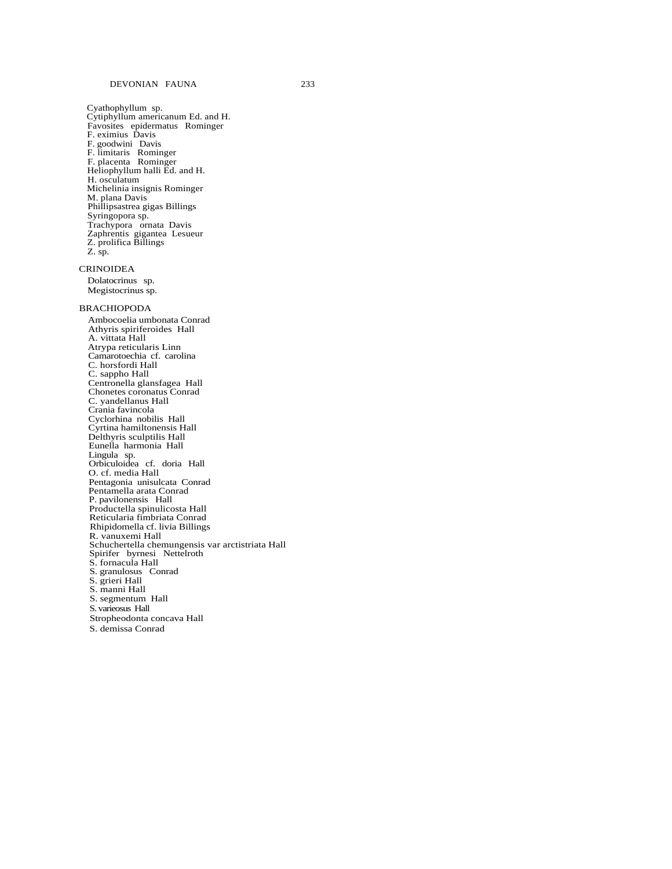Cyathophyllum sp. Cytiphyllum americanum Ed. and H. Favosites epidermatus Rominger F. eximius Davis F. goodwini Davis F. limitaris Rominger F. placenta Rominger Heliophyllum halli Ed. and H. H. osculatum Michelinia insignis Rominger M. plana Davis Phillipsastrea gigas Billings Syringopora sp. Trachypora ornata Davis Zaphrentis gigantea Lesueur Z. prolifica Billings Z. sp.

#### CRINOIDEA

Dolatocrinus sp. Megistocrinus sp.

#### BRACHIOPODA

Ambocoelia umbonata Conrad Athyris spiriferoides Hall A. vittata Hall Atrypa reticularis Linn Camarotoechia cf. carolina C. horsfordi Hall C. sappho Hall Centronella glansfagea Hall Chonetes coronatus Conrad C. yandellanus Hall Crania favincola Cyclorhina nobilis Hall Cyrtina hamiltonensis Hall Delthyris sculptilis Hall Eunella harmonia Hall Lingula sp. Orbiculoidea cf. doria Hall O. cf. media Hall Pentagonia unisulcata Conrad Pentamella arata Conrad P. pavilonensis Hall Productella spinulicosta Hall Reticularia fimbriata Conrad Rhipidomella cf. livia Billings R. vanuxemi Hall Schuchertella chemungensis var arctistriata Hall Spirifer byrnesi Nettelroth S. fornacula Hall S. granulosus Conrad S. grieri Hall S. manni Hall S. segmentum Hall S. varieosus Hall Stropheodonta concava Hall S. demissa Conrad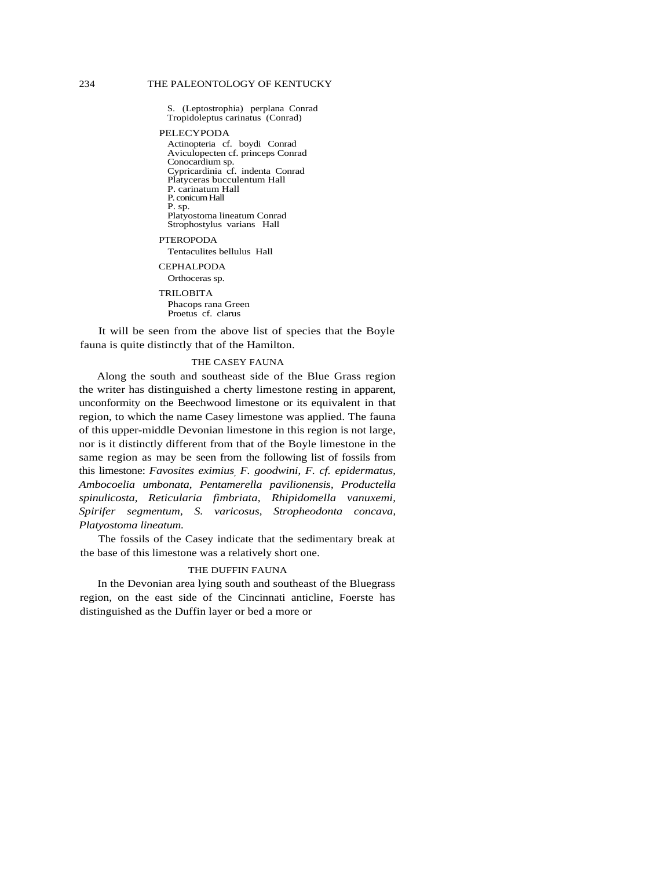S. (Leptostrophia) perplana Conrad Tropidoleptus carinatus (Conrad)

#### PELECYPODA

Actinopteria cf. boydi Conrad Aviculopecten cf. princeps Conrad Conocardium sp. Cypricardinia cf. indenta Conrad Platyceras bucculentum Hall P. carinatum Hall P. conicum Hall P. sp. Platyostoma lineatum Conrad Strophostylus varians Hall

PTEROPODA Tentaculites bellulus Hall

#### CEPHALPODA

Orthoceras sp.

#### TRILOBITA

Phacops rana Green Proetus cf. clarus

It will be seen from the above list of species that the Boyle fauna is quite distinctly that of the Hamilton.

### THE CASEY FAUNA

Along the south and southeast side of the Blue Grass region the writer has distinguished a cherty limestone resting in apparent, unconformity on the Beechwood limestone or its equivalent in that region, to which the name Casey limestone was applied. The fauna of this upper-middle Devonian limestone in this region is not large, nor is it distinctly different from that of the Boyle limestone in the same region as may be seen from the following list of fossils from this limestone: *Favosites eximius, F. goodwini, F. cf. epidermatus, Ambocoelia umbonata, Pentamerella pavilionensis, Productella spinulicosta, Reticularia fimbriata, Rhipidomella vanuxemi, Spirifer segmentum, S. varicosus, Stropheodonta concava, Platyostoma lineatum.*

The fossils of the Casey indicate that the sedimentary break at the base of this limestone was a relatively short one.

#### THE DUFFIN FAUNA

In the Devonian area lying south and southeast of the Bluegrass region, on the east side of the Cincinnati anticline, Foerste has distinguished as the Duffin layer or bed a more or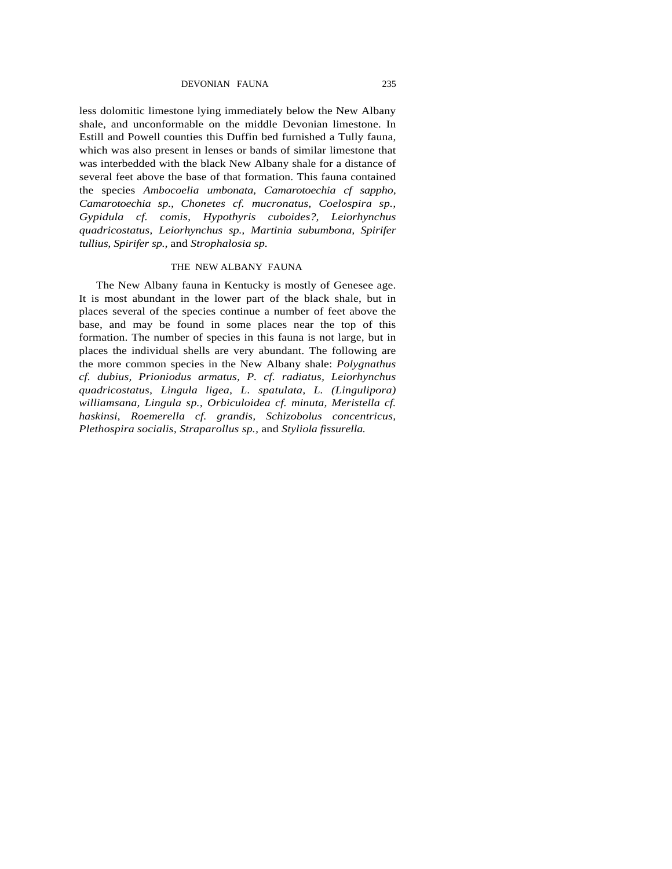DEVONIAN FAUNA 235

less dolomitic limestone lying immediately below the New Albany shale, and unconformable on the middle Devonian limestone. In Estill and Powell counties this Duffin bed furnished a Tully fauna, which was also present in lenses or bands of similar limestone that was interbedded with the black New Albany shale for a distance of several feet above the base of that formation. This fauna contained the species *Ambocoelia umbonata, Camarotoechia cf sappho, Camarotoechia sp., Chonetes cf. mucronatus, Coelospira sp., Gypidula cf. comis, Hypothyris cuboides?, Leiorhynchus quadricostatus, Leiorhynchus sp., Martinia subumbona, Spirifer tullius, Spirifer sp.,* and *Strophalosia sp.*

# THE NEW ALBANY FAUNA

The New Albany fauna in Kentucky is mostly of Genesee age. It is most abundant in the lower part of the black shale, but in places several of the species continue a number of feet above the base, and may be found in some places near the top of this formation. The number of species in this fauna is not large, but in places the individual shells are very abundant. The following are the more common species in the New Albany shale: *Polygnathus cf. dubius, Prioniodus armatus, P. cf. radiatus, Leiorhynchus quadricostatus, Lingula ligea, L. spatulata, L. (Lingulipora) williamsana, Lingula sp., Orbiculoidea cf. minuta, Meristella cf. haskinsi, Roemerella cf. grandis, Schizobolus concentricus, Plethospira socialis, Straparollus sp.,* and *Styliola fissurella.*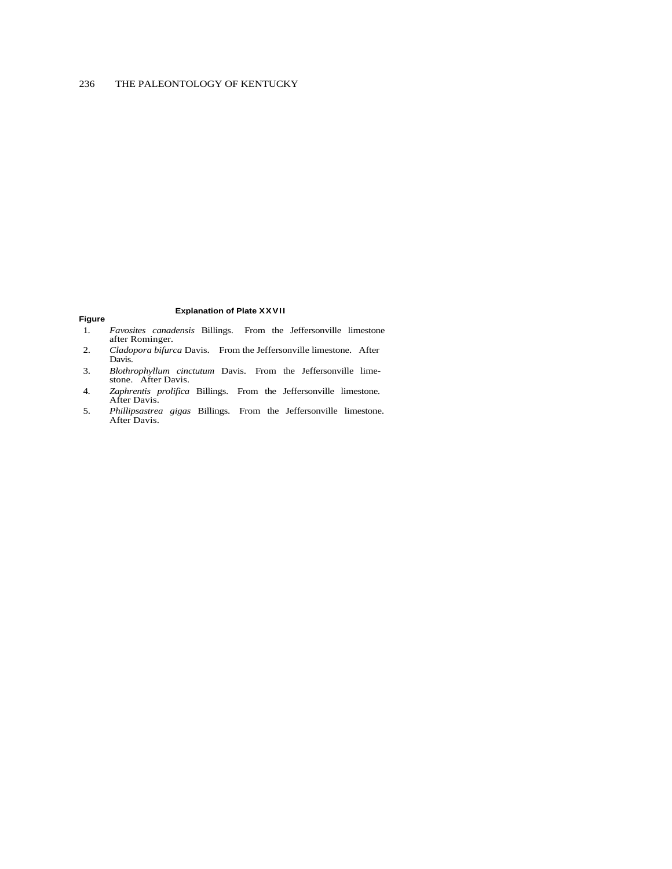# **Figure**

#### **Explanation of Plate XXVII**

- 1. *Favosites canadensis* Billings. From the Jeffersonville limestone after Rominger.
- 2. *Cladopora bifurca* Davis. From the Jeffersonville limestone. After Davis.
- 3. *Blothrophyllum cinctutum* Davis. From the Jeffersonville limestone. After Davis.
- 4. *Zaphrentis prolifica* Billings. From the Jeffersonville limestone. After Davis.
- 5. *Phillipsastrea gigas* Billings. From the Jeffersonville limestone. After Davis.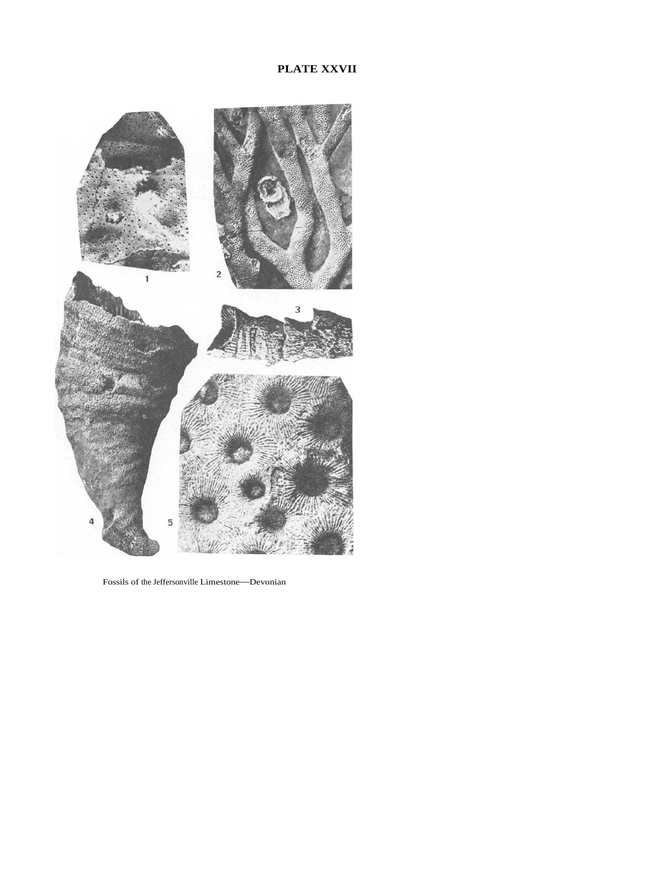# **PLATE XXVII**



Fossils of the Jeffersonville Limestone—Devonian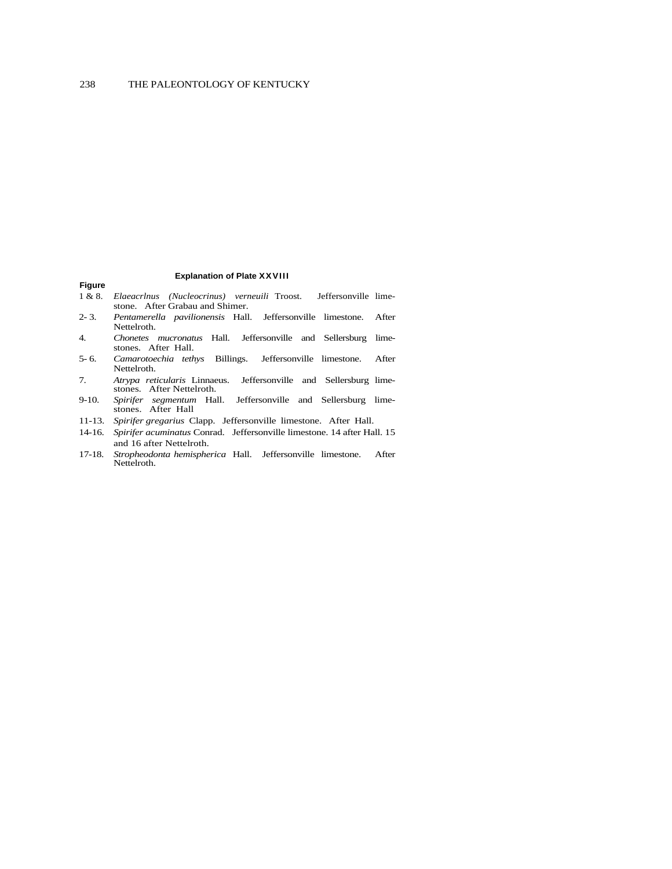# **Figure**

#### **Explanation of Plate XXVIII**

- 1 & 8. *Elaeacrlnus (Nucleocrinus) verneuili* Troost. Jeffersonville limestone. After Grabau and Shimer.
- 2- 3. *Pentamerella pavilionensis* Hall. Jeffersonville limestone. After Nettelroth.
- 4. *Chonetes mucronatus* Hall. Jeffersonville and Sellersburg limestones. After Hall.
- 5- 6. *Camarotoechia tethys* Billings. Jeffersonville limestone. After Nettelroth.
- 7. *Atrypa reticularis* Linnaeus. Jeffersonville and Sellersburg limestones. After Nettelroth.
- 9-10. *Spirifer segmentum* Hall. Jeffersonville and Sellersburg limestones. After Hall
- 11-13. *Spirifer gregarius* Clapp. Jeffersonville limestone. After Hall.
- 14-16. *Spirifer acuminatus* Conrad. Jeffersonville limestone. 14 after Hall. 15 and 16 after Nettelroth.
- 17-18. *Stropheodonta hemispherica* Hall. Jeffersonville limestone. After Nettelroth.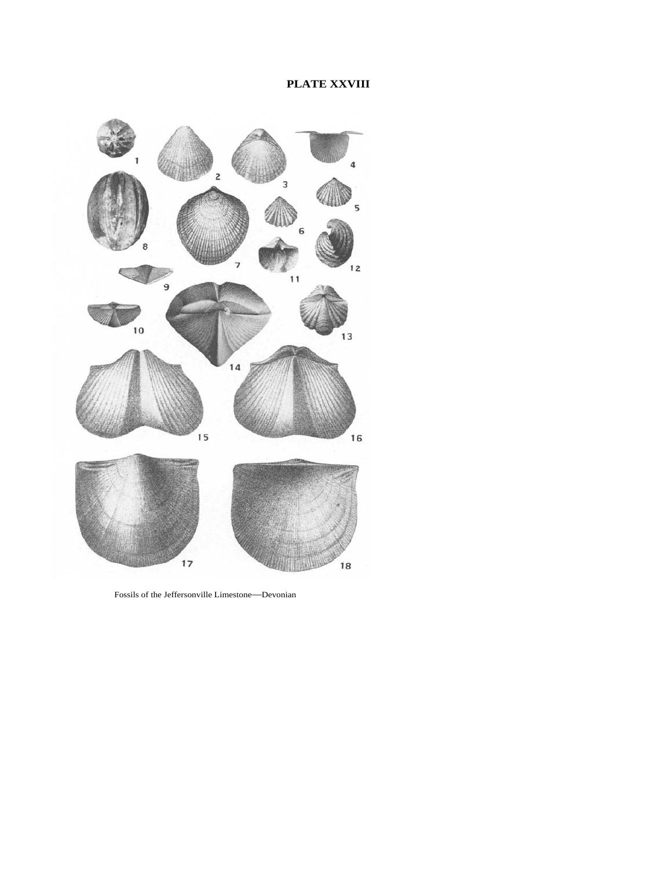

Fossils of the Jeffersonville Limestone—Devonian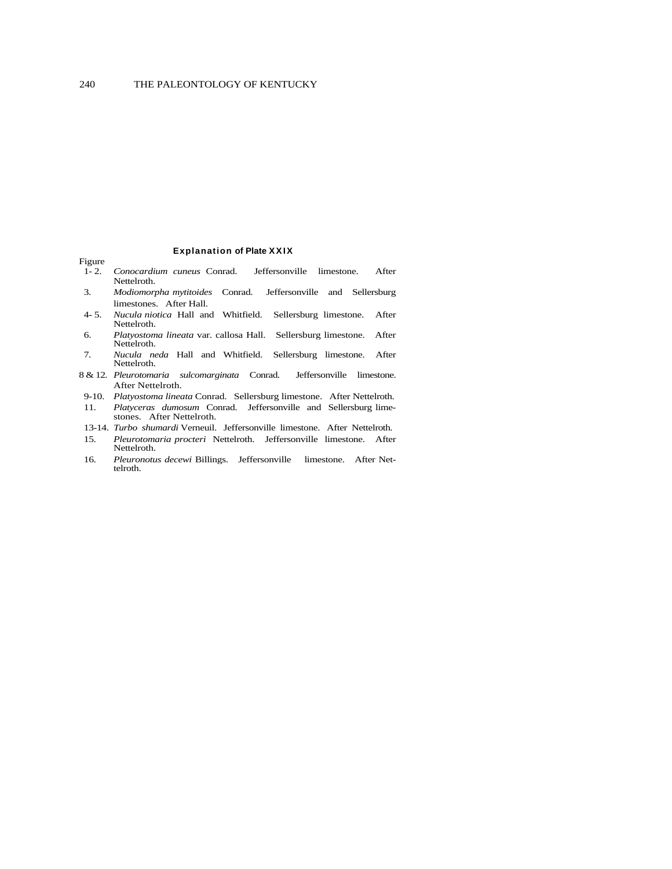### **Explanation of Plate X XIX**

#### Figure

- 1- 2. *Conocardium cuneus* Conrad. Jeffersonville limestone. After Nettelroth.
- 3. *Modiomorpha mytitoides* Conrad. Jeffersonville and Sellersburg limestones. After Hall.
- 4- 5. *Nucula niotica* Hall and Whitfield. Sellersburg limestone. After Nettelroth.
- 6. *Platyostoma lineata* var. callosa Hall. Sellersburg limestone. After Nettelroth.
- 7. *Nucula neda* Hall and Whitfield. Sellersburg limestone. After Nettelroth.
- 8 & 12. *Pleurotomaria sulcomarginata* Conrad. Jeffersonville limestone. After Nettelroth.
- 9-10. *Platyostoma lineata* Conrad. Sellersburg limestone. After Nettelroth.
- 11. *Platyceras dumosum* Conrad. Jeffersonville and Sellersburg limestones. After Nettelroth.
- 13-14. *Turbo shumardi* Verneuil. Jeffersonville limestone. After Nettelroth.
- 15. *Pleurotomaria procteri* Nettelroth. Jeffersonville limestone. After Nettelroth.
- 16. *Pleuronotus decewi* Billings. Jeffersonville limestone. After Nettelroth.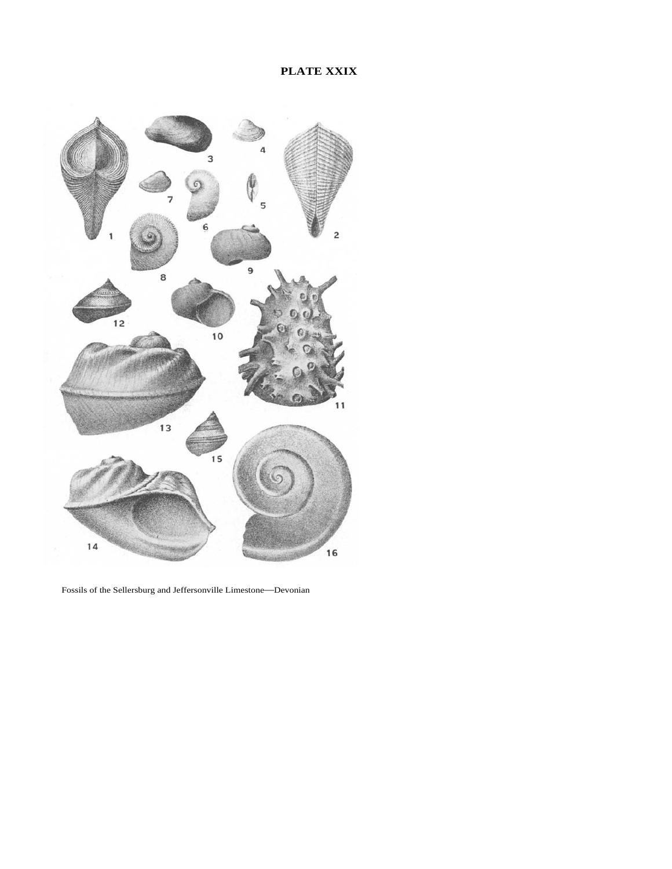# **PLATE XXIX**



Fossils of the Sellersburg and Jeffersonville Limestone—Devonian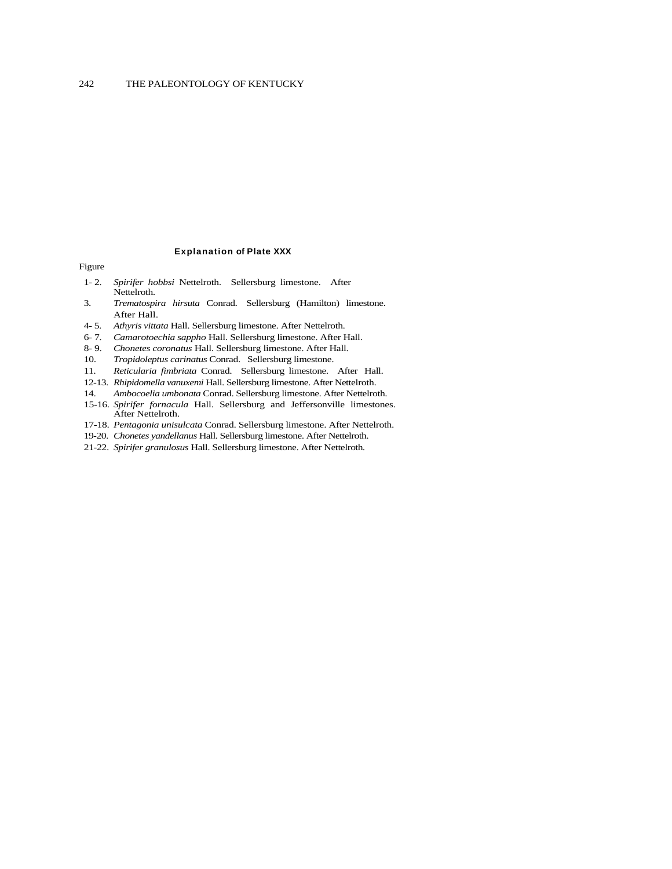#### **Explanation of Plate XXX**

#### Figure

- 1- 2. *Spirifer hobbsi* Nettelroth. Sellersburg limestone. After Nettelroth.
- 3. *Trematospira hirsuta* Conrad. Sellersburg (Hamilton) limestone. After Hall.
- 4- 5. *Athyris vittata* Hall. Sellersburg limestone. After Nettelroth.
- 6- 7. *Camarotoechia sappho* Hall. Sellersburg limestone. After Hall.
- 8- 9. *Chonetes coronatus* Hall. Sellersburg limestone. After Hall.
- 10. *Tropidoleptus carinatus* Conrad. Sellersburg limestone.
- 11. *Reticularia fimbriata* Conrad. Sellersburg limestone. After Hall.
- 12-13. *Rhipidomella vanuxemi* Hall. Sellersburg limestone. After Nettelroth.
- 14. *Ambocoelia umbonata* Conrad. Sellersburg limestone. After Nettelroth.
- 15-16. *Spirifer fornacula* Hall. Sellersburg and Jeffersonville limestones. After Nettelroth.
- 17-18. *Pentagonia unisulcata* Conrad. Sellersburg limestone. After Nettelroth.
- 19-20. *Chonetes yandellanus* Hall. Sellersburg limestone. After Nettelroth.
- 21-22. *Spirifer granulosus* Hall. Sellersburg limestone. After Nettelroth.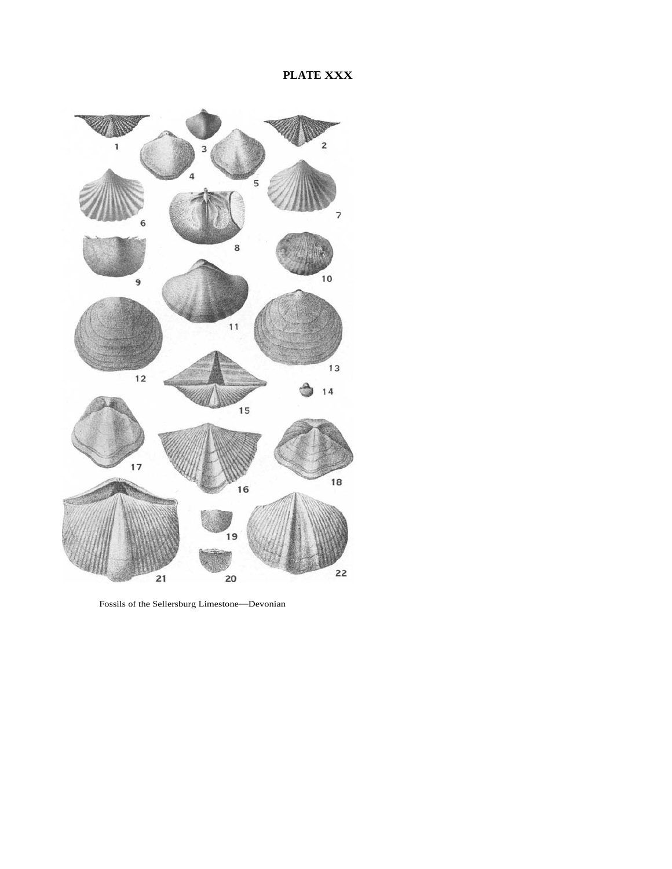

Fossils of the Sellersburg Limestone—Devonian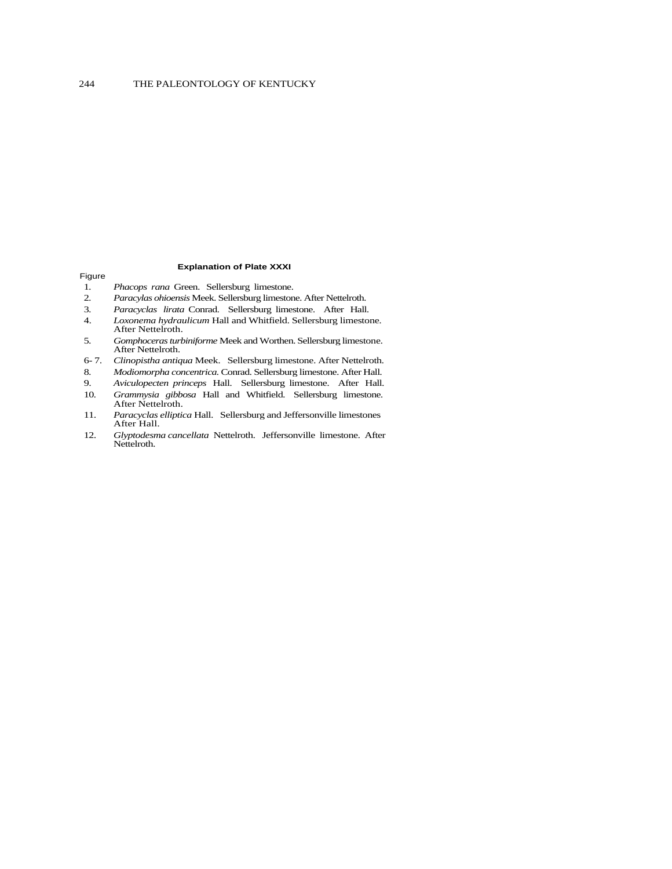#### Figure

#### **Explanation of Plate XXXI**

- 1. *Phacops rana* Green. Sellersburg limestone.
- 2. *Paracylas ohioensis* Meek. Sellersburg limestone. After Nettelroth.
- 3. *Paracyclas lirata* Conrad. Sellersburg limestone. After Hall.
- 4. *Loxonema hydraulicum* Hall and Whitfield. Sellersburg limestone. After Nettelroth.
- 5. *Gomphoceras turbiniforme* Meek and Worthen. Sellersburg limestone. After Nettelroth.
- 6- 7. *Clinopistha antiqua* Meek. Sellersburg limestone. After Nettelroth.
- 8. *Modiomorpha concentrica.* Conrad. Sellersburg limestone. After Hall.
- 9. *Aviculopecten princeps* Hall. Sellersburg limestone. After Hall.
- 10. *Grammysia gibbosa* Hall and Whitfield. Sellersburg limestone. After Nettelroth.
- 11. *Paracyclas elliptica* Hall. Sellersburg and Jeffersonville limestones After Hall.
- 12. *Glyptodesma cancellata* Nettelroth. Jeffersonville limestone. After Nettelroth.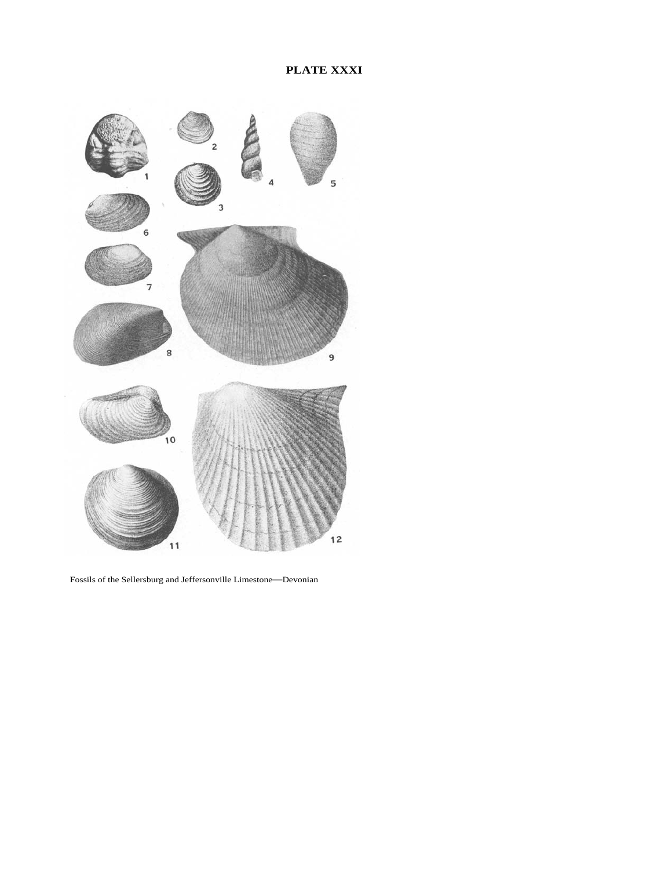

Fossils of the Sellersburg and Jeffersonville Limestone—Devonian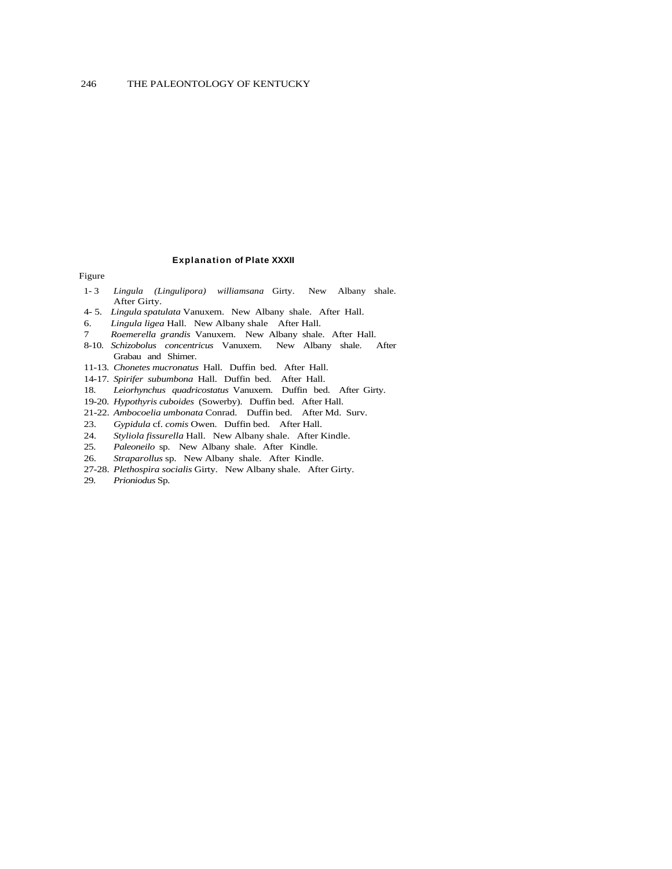#### **Explanation of Plate XXXII**

#### Figure

- 1- 3 *Lingula (Lingulipora) williamsana* Girty. New Albany shale. After Girty.
- 4- 5. *Lingula spatulata* Vanuxem. New Albany shale. After Hall.
- 6. *Lingula ligea* Hall. New Albany shale After Hall.
- 7 *Roemerella grandis* Vanuxem. New Albany shale. After Hall.
- 8-10. *Schizobolus concentricus* Vanuxem. New Albany shale. After Grabau and Shimer.
- 11-13. *Chonetes mucronatus* Hall. Duffin bed. After Hall.
- 14-17. *Spirifer subumbona* Hall. Duffin bed. After Hall.
- 18. *Leiorhynchus quadricostatus* Vanuxem. Duffin bed. After Girty.
- 19-20. *Hypothyris cuboides* (Sowerby). Duffin bed. After Hall.
- 21-22. *Ambocoelia umbonata* Conrad. Duffin bed. After Md. Surv.
- 23. *Gypidula* cf. *comis* Owen. Duffin bed. After Hall.
- 24. *Styliola fissurella* Hall. New Albany shale. After Kindle.
- 25. *Paleoneilo* sp. New Albany shale. After Kindle.
- 26. *Straparollus* sp. New Albany shale. After Kindle.
- 27-28. *Plethospira socialis* Girty. New Albany shale. After Girty.
- 29. *Prioniodus* Sp.